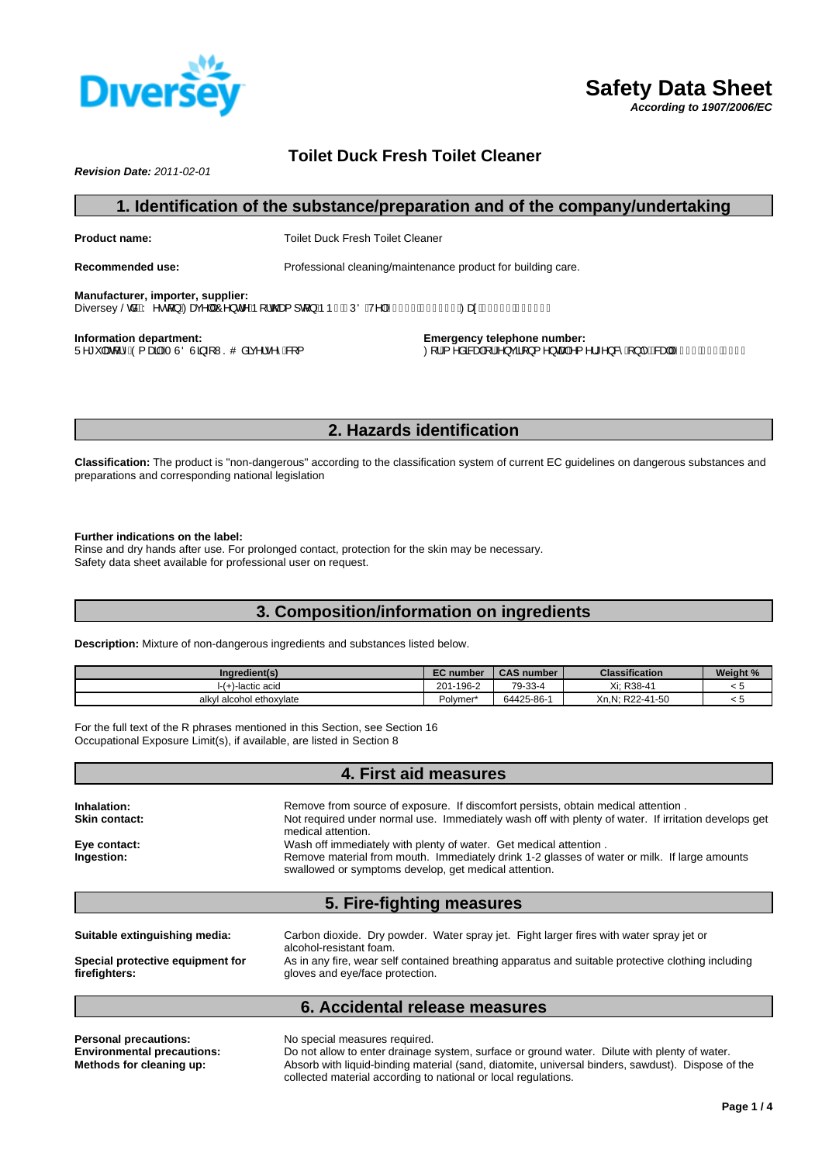

**Toilet Duck Fresh Toilet Cleaner**

*Revision Date: 2011-02-01*

## **1. Identification of the substance/preparation and of the company/undertaking**

**Product name:** Toilet Duck Fresh Toilet Cleaner

**Recommended use:** Professional cleaning/maintenance product for building care.

**Manufacturer, importer, supplier:** Diversey ŠcåBÝ ^•q{}Á/Zeqe^||ÁO^}d^Áp[¦c@a{]q{}Áp b H ÚÖÁ/^|ÁEFÎ €I Á €Í HFFÁ/ZeqeÁEFÎ €I Á €Î Ì €J

**Information department:** U^\*\* |æ[| |^ÁQ{ænakÁT ÙÖÙã} +{ WSO åãç^¦•^^B& { **Emergency telephone number:**  $Q$ ¦Á, ^åææþá[|Á}çã[}{^}œphá{^¦\*^}&^Á}|^ $\hat{B}$ &æp|ÁE] $\hat{\in}$ EnelíofEF]Í

# **2. Hazards identification**

**Classification:** The product is "non-dangerous" according to the classification system of current EC guidelines on dangerous substances and preparations and corresponding national legislation

#### **Further indications on the label:**

Rinse and dry hands after use. For prolonged contact, protection for the skin may be necessary. Safety data sheet available for professional user on request.

# **3. Composition/information on ingredients**

**Description:** Mixture of non-dangerous ingredients and substances listed below.

| Ingredient(s)            | <b>EC</b> number     | <b>CAS number</b> | <b>Classification</b>    | <b>Weight %</b> |
|--------------------------|----------------------|-------------------|--------------------------|-----------------|
| -lactic acid             | 201-196-2            | 79-33-4           | R38-4<br>$\vee$ :<br>ΛI. |                 |
| alkyl alcohol ethoxylate | Polvmer <sup>*</sup> | 64425-86-         | Xn, N; R22-41-50         |                 |

For the full text of the R phrases mentioned in this Section, see Section 16 Occupational Exposure Limit(s), if available, are listed in Section 8

## **4. First aid measures**

| <b>Inhalation:</b> | Remove from source of exposure. If discomfort persists, obtain medical attention.                                                                     |
|--------------------|-------------------------------------------------------------------------------------------------------------------------------------------------------|
| Skin contact:      | Not required under normal use. Immediately wash off with plenty of water. If irritation develops get<br>medical attention.                            |
| Eye contact:       | Wash off immediately with plenty of water. Get medical attention.                                                                                     |
| Ingestion:         | Remove material from mouth. Immediately drink 1-2 glasses of water or milk. If large amounts<br>swallowed or symptoms develop, get medical attention. |

# **5. Fire-fighting measures**

| Suitable extinguishing media:    | Carbon dioxide. Dry powder. Water spray jet. Fight larger fires with water spray jet or<br>alcohol-resistant foam. |
|----------------------------------|--------------------------------------------------------------------------------------------------------------------|
| Special protective equipment for | As in any fire, wear self contained breathing apparatus and suitable protective clothing including                 |
| firefighters:                    | gloves and eye/face protection.                                                                                    |

## **6. Accidental release measures**

| <b>Personal precautions:</b>      | No special measures required.                                                                     |
|-----------------------------------|---------------------------------------------------------------------------------------------------|
| <b>Environmental precautions:</b> | Do not allow to enter drainage system, surface or ground water. Dilute with plenty of water.      |
| Methods for cleaning up:          | Absorb with liquid-binding material (sand, diatomite, universal binders, sawdust). Dispose of the |
|                                   | collected material according to national or local regulations.                                    |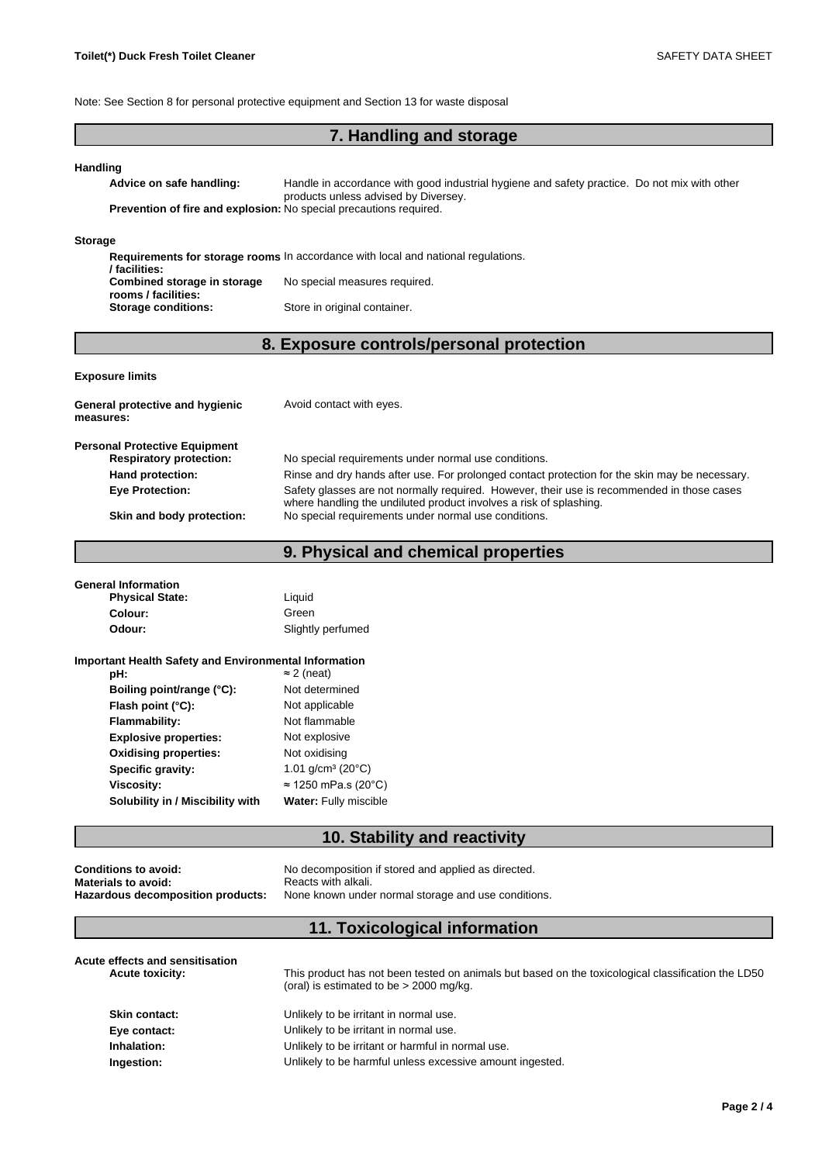Note: See Section 8 for personal protective equipment and Section 13 for waste disposal

# **7. Handling and storage**

#### **Handling**

**Advice on safe handling:** Handle in accordance with good industrial hygiene and safety practice. Do not mix with other products unless advised by Diversey. **Prevention of fire and explosion:** No special precautions required.

#### **Storage**

|                             | <b>Requirements for storage rooms</b> In accordance with local and national requiations. |
|-----------------------------|------------------------------------------------------------------------------------------|
| / facilities:               |                                                                                          |
| Combined storage in storage | No special measures required.                                                            |
| rooms / facilities:         |                                                                                          |
| <b>Storage conditions:</b>  | Store in original container.                                                             |

# **8. Exposure controls/personal protection**

#### **Exposure limits**

| General protective and hygienic<br>measures:                           | Avoid contact with eyes.                                                                                                                                         |
|------------------------------------------------------------------------|------------------------------------------------------------------------------------------------------------------------------------------------------------------|
| <b>Personal Protective Equipment</b><br><b>Respiratory protection:</b> | No special requirements under normal use conditions.                                                                                                             |
| Hand protection:                                                       | Rinse and dry hands after use. For prolonged contact protection for the skin may be necessary.                                                                   |
| <b>Eye Protection:</b>                                                 | Safety glasses are not normally required. However, their use is recommended in those cases<br>where handling the undiluted product involves a risk of splashing. |
| Skin and body protection:                                              | No special requirements under normal use conditions.                                                                                                             |

# **9. Physical and chemical properties**

| <b>General Information</b><br><b>Physical State:</b>         | Liauid            |  |
|--------------------------------------------------------------|-------------------|--|
| Colour:                                                      | Green             |  |
| Odour:                                                       | Slightly perfumed |  |
| <b>Important Health Safety and Environmental Information</b> |                   |  |

| pH:                              | $\approx$ 2 (neat)           |
|----------------------------------|------------------------------|
| Boiling point/range (°C):        | Not determined               |
| Flash point $(^{\circ}C)$ :      | Not applicable               |
| Flammability:                    | Not flammable                |
| <b>Explosive properties:</b>     | Not explosive                |
| <b>Oxidising properties:</b>     | Not oxidising                |
| Specific gravity:                | 1.01 $q/cm^3$ (20 $°C$ )     |
| Viscosity:                       | $\approx$ 1250 mPa.s (20°C)  |
| Solubility in / Miscibility with | <b>Water: Fully miscible</b> |

### **10. Stability and reactivity**

| Conditions to avoid:                     |  |
|------------------------------------------|--|
| Materials to avoid:                      |  |
| <b>Hazardous decomposition products:</b> |  |

No decomposition if stored and applied as directed. **Materials to avoid:** Reacts with alkali. None known under normal storage and use conditions.

# **11. Toxicological information**

| Acute effects and sensitisation<br><b>Acute toxicity:</b> | This product has not been tested on animals but based on the toxicological classification the LD50<br>(oral) is estimated to be $> 2000$ mg/kg. |
|-----------------------------------------------------------|-------------------------------------------------------------------------------------------------------------------------------------------------|
| <b>Skin contact:</b>                                      | Unlikely to be irritant in normal use.                                                                                                          |
| Eye contact:                                              | Unlikely to be irritant in normal use.                                                                                                          |
| Inhalation:                                               | Unlikely to be irritant or harmful in normal use.                                                                                               |
| Ingestion:                                                | Unlikely to be harmful unless excessive amount ingested.                                                                                        |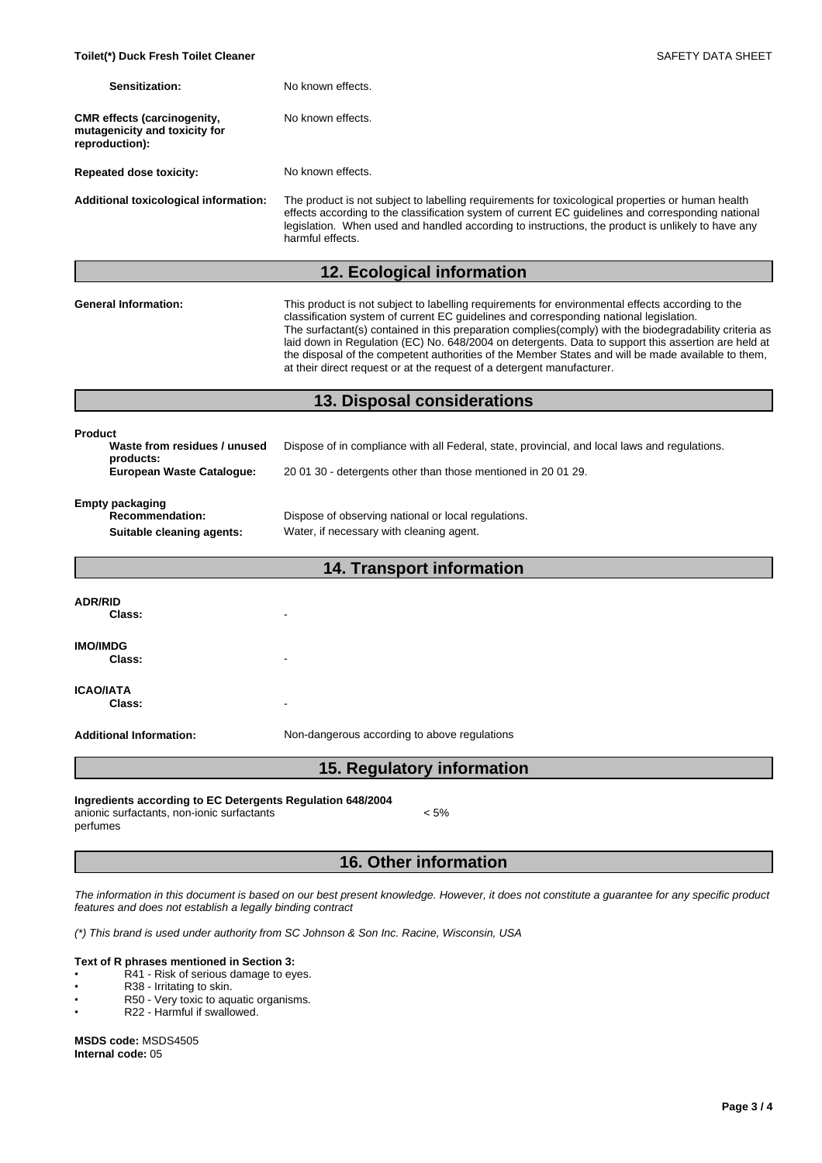| Sensitization:                                                                           | No known effects.                                                                                                                                                                                                                                                                                                                                                                                                                                                                                                                                                                           |
|------------------------------------------------------------------------------------------|---------------------------------------------------------------------------------------------------------------------------------------------------------------------------------------------------------------------------------------------------------------------------------------------------------------------------------------------------------------------------------------------------------------------------------------------------------------------------------------------------------------------------------------------------------------------------------------------|
| <b>CMR</b> effects (carcinogenity,<br>mutagenicity and toxicity for<br>reproduction):    | No known effects.                                                                                                                                                                                                                                                                                                                                                                                                                                                                                                                                                                           |
| <b>Repeated dose toxicity:</b>                                                           | No known effects.                                                                                                                                                                                                                                                                                                                                                                                                                                                                                                                                                                           |
| <b>Additional toxicological information:</b>                                             | The product is not subject to labelling requirements for toxicological properties or human health<br>effects according to the classification system of current EC guidelines and corresponding national<br>legislation. When used and handled according to instructions, the product is unlikely to have any<br>harmful effects.                                                                                                                                                                                                                                                            |
|                                                                                          | 12. Ecological information                                                                                                                                                                                                                                                                                                                                                                                                                                                                                                                                                                  |
| <b>General Information:</b>                                                              | This product is not subject to labelling requirements for environmental effects according to the<br>classification system of current EC guidelines and corresponding national legislation.<br>The surfactant(s) contained in this preparation complies(comply) with the biodegradability criteria as<br>laid down in Regulation (EC) No. 648/2004 on detergents. Data to support this assertion are held at<br>the disposal of the competent authorities of the Member States and will be made available to them,<br>at their direct request or at the request of a detergent manufacturer. |
|                                                                                          | 13. Disposal considerations                                                                                                                                                                                                                                                                                                                                                                                                                                                                                                                                                                 |
| <b>Product</b><br>Waste from residues / unused<br>products:<br>European Waste Catalogue: | Dispose of in compliance with all Federal, state, provincial, and local laws and regulations.<br>2001 30 - detergents other than those mentioned in 2001 29.                                                                                                                                                                                                                                                                                                                                                                                                                                |
| <b>Empty packaging</b><br><b>Recommendation:</b><br>Suitable cleaning agents:            | Dispose of observing national or local regulations.<br>Water, if necessary with cleaning agent.                                                                                                                                                                                                                                                                                                                                                                                                                                                                                             |
|                                                                                          | <b>14. Transport information</b>                                                                                                                                                                                                                                                                                                                                                                                                                                                                                                                                                            |
| <b>ADR/RID</b><br>Class:                                                                 |                                                                                                                                                                                                                                                                                                                                                                                                                                                                                                                                                                                             |
| <b>IMO/IMDG</b><br>Class:                                                                |                                                                                                                                                                                                                                                                                                                                                                                                                                                                                                                                                                                             |
| <b>ICAO/IATA</b><br>Class:                                                               |                                                                                                                                                                                                                                                                                                                                                                                                                                                                                                                                                                                             |
| <b>Additional Information:</b>                                                           | Non-dangerous according to above regulations                                                                                                                                                                                                                                                                                                                                                                                                                                                                                                                                                |

**15. Regulatory information**

**Ingredients according to EC Detergents Regulation 648/2004** anionic surfactants, non-ionic surfactants

perfumes

# **16. Other information**

*The information in this document is based on our best present knowledge. However, it does not constitute a guarantee for any specific product features and does not establish a legally binding contract*

*(\*) This brand is used under authority from SC Johnson & Son Inc. Racine, Wisconsin, USA*

#### **Text of R phrases mentioned in Section 3:**

- **PHRESS HISHERRY IN STREET READS**<br>R41 Risk of serious damage to eyes.
- R38 Irritating to skin.
- R50 Very toxic to aquatic organisms.<br>• R22 Harmful if swallowed
	- R22 Harmful if swallowed.

**MSDS code:** MSDS4505 **Internal code:** 05